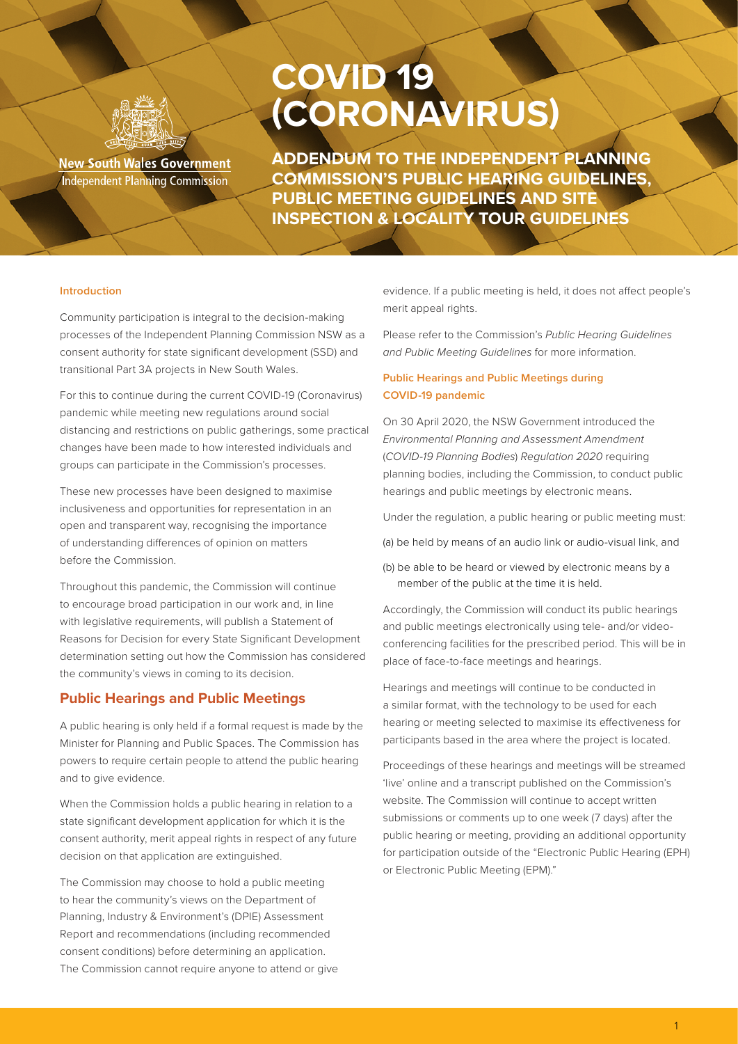

**New South Wales Government Independent Planning Commission** 

# **COVID 19 (CORONAVIRUS)**

**ADDENDUM TO THE INDEPENDENT PLANNING COMMISSION'S PUBLIC HEARING GUIDELINES, PUBLIC MEETING GUIDELINES AND SITE INSPECTION & LOCALITY TOUR GUIDELINES**

#### **Introduction**

Community participation is integral to the decision-making processes of the Independent Planning Commission NSW as a consent authority for state significant development (SSD) and transitional Part 3A projects in New South Wales.

For this to continue during the current COVID-19 (Coronavirus) pandemic while meeting new regulations around social distancing and restrictions on public gatherings, some practical changes have been made to how interested individuals and groups can participate in the Commission's processes.

These new processes have been designed to maximise inclusiveness and opportunities for representation in an open and transparent way, recognising the importance of understanding differences of opinion on matters before the Commission.

Throughout this pandemic, the Commission will continue to encourage broad participation in our work and, in line with legislative requirements, will publish a Statement of Reasons for Decision for every State Significant Development determination setting out how the Commission has considered the community's views in coming to its decision.

## **Public Hearings and Public Meetings**

A public hearing is only held if a formal request is made by the Minister for Planning and Public Spaces. The Commission has powers to require certain people to attend the public hearing and to give evidence.

When the Commission holds a public hearing in relation to a state significant development application for which it is the consent authority, merit appeal rights in respect of any future decision on that application are extinguished.

The Commission may choose to hold a public meeting to hear the community's views on the Department of Planning, Industry & Environment's (DPIE) Assessment Report and recommendations (including recommended consent conditions) before determining an application. The Commission cannot require anyone to attend or give evidence. If a public meeting is held, it does not affect people's merit appeal rights.

Please refer to the Commission's *Public Hearing Guidelines and Public Meeting Guidelines* for more information.

## **Public Hearings and Public Meetings during COVID-19 pandemic**

On 30 April 2020, the NSW Government introduced the *Environmental Planning and Assessment Amendment*  (*COVID-19 Planning Bodies*) *Regulation 2020* requiring planning bodies, including the Commission, to conduct public hearings and public meetings by electronic means.

Under the regulation, a public hearing or public meeting must:

(a) be held by means of an audio link or audio-visual link, and

(b) be able to be heard or viewed by electronic means by a member of the public at the time it is held.

Accordingly, the Commission will conduct its public hearings and public meetings electronically using tele- and/or videoconferencing facilities for the prescribed period. This will be in place of face-to-face meetings and hearings.

Hearings and meetings will continue to be conducted in a similar format, with the technology to be used for each hearing or meeting selected to maximise its effectiveness for participants based in the area where the project is located.

Proceedings of these hearings and meetings will be streamed 'live' online and a transcript published on the Commission's website. The Commission will continue to accept written submissions or comments up to one week (7 days) after the public hearing or meeting, providing an additional opportunity for participation outside of the "Electronic Public Hearing (EPH) or Electronic Public Meeting (EPM)."